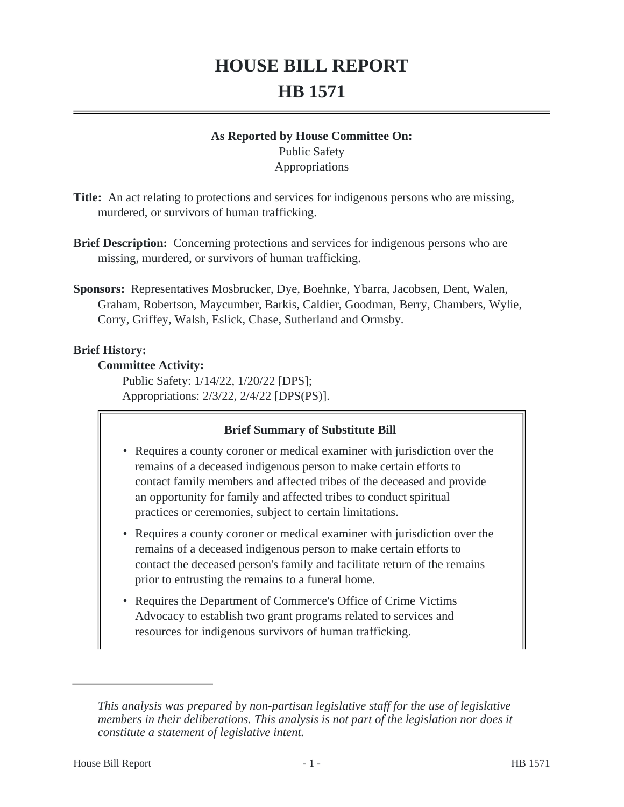# **HOUSE BILL REPORT HB 1571**

# **As Reported by House Committee On:**

Public Safety Appropriations

- **Title:** An act relating to protections and services for indigenous persons who are missing, murdered, or survivors of human trafficking.
- **Brief Description:** Concerning protections and services for indigenous persons who are missing, murdered, or survivors of human trafficking.
- **Sponsors:** Representatives Mosbrucker, Dye, Boehnke, Ybarra, Jacobsen, Dent, Walen, Graham, Robertson, Maycumber, Barkis, Caldier, Goodman, Berry, Chambers, Wylie, Corry, Griffey, Walsh, Eslick, Chase, Sutherland and Ormsby.

## **Brief History:**

## **Committee Activity:**

Public Safety: 1/14/22, 1/20/22 [DPS]; Appropriations: 2/3/22, 2/4/22 [DPS(PS)].

## **Brief Summary of Substitute Bill**

- Requires a county coroner or medical examiner with jurisdiction over the remains of a deceased indigenous person to make certain efforts to contact family members and affected tribes of the deceased and provide an opportunity for family and affected tribes to conduct spiritual practices or ceremonies, subject to certain limitations.
- Requires a county coroner or medical examiner with jurisdiction over the remains of a deceased indigenous person to make certain efforts to contact the deceased person's family and facilitate return of the remains prior to entrusting the remains to a funeral home.
- Requires the Department of Commerce's Office of Crime Victims Advocacy to establish two grant programs related to services and resources for indigenous survivors of human trafficking.

*This analysis was prepared by non-partisan legislative staff for the use of legislative members in their deliberations. This analysis is not part of the legislation nor does it constitute a statement of legislative intent.*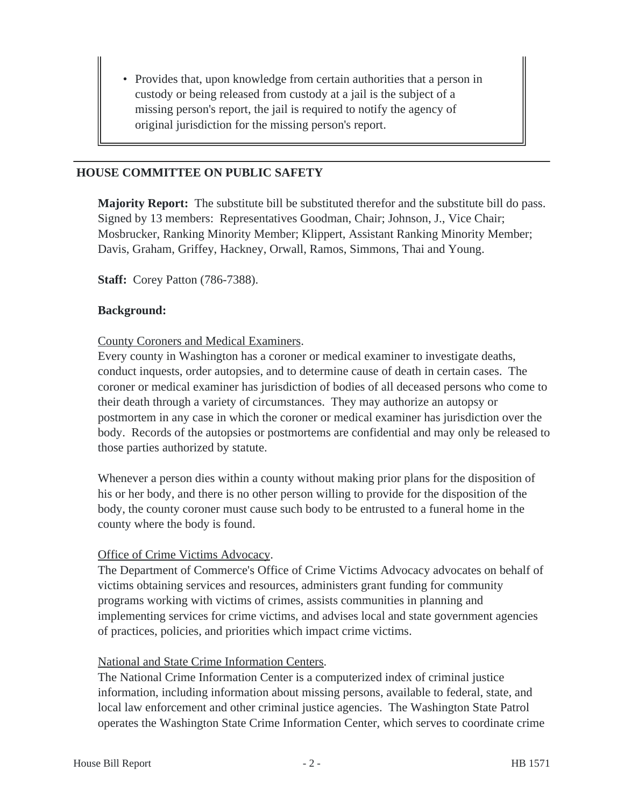• Provides that, upon knowledge from certain authorities that a person in custody or being released from custody at a jail is the subject of a missing person's report, the jail is required to notify the agency of original jurisdiction for the missing person's report.

#### **HOUSE COMMITTEE ON PUBLIC SAFETY**

**Majority Report:** The substitute bill be substituted therefor and the substitute bill do pass. Signed by 13 members: Representatives Goodman, Chair; Johnson, J., Vice Chair; Mosbrucker, Ranking Minority Member; Klippert, Assistant Ranking Minority Member; Davis, Graham, Griffey, Hackney, Orwall, Ramos, Simmons, Thai and Young.

**Staff:** Corey Patton (786-7388).

#### **Background:**

#### County Coroners and Medical Examiners.

Every county in Washington has a coroner or medical examiner to investigate deaths, conduct inquests, order autopsies, and to determine cause of death in certain cases. The coroner or medical examiner has jurisdiction of bodies of all deceased persons who come to their death through a variety of circumstances. They may authorize an autopsy or postmortem in any case in which the coroner or medical examiner has jurisdiction over the body. Records of the autopsies or postmortems are confidential and may only be released to those parties authorized by statute.

Whenever a person dies within a county without making prior plans for the disposition of his or her body, and there is no other person willing to provide for the disposition of the body, the county coroner must cause such body to be entrusted to a funeral home in the county where the body is found.

#### Office of Crime Victims Advocacy.

The Department of Commerce's Office of Crime Victims Advocacy advocates on behalf of victims obtaining services and resources, administers grant funding for community programs working with victims of crimes, assists communities in planning and implementing services for crime victims, and advises local and state government agencies of practices, policies, and priorities which impact crime victims.

#### National and State Crime Information Centers.

The National Crime Information Center is a computerized index of criminal justice information, including information about missing persons, available to federal, state, and local law enforcement and other criminal justice agencies. The Washington State Patrol operates the Washington State Crime Information Center, which serves to coordinate crime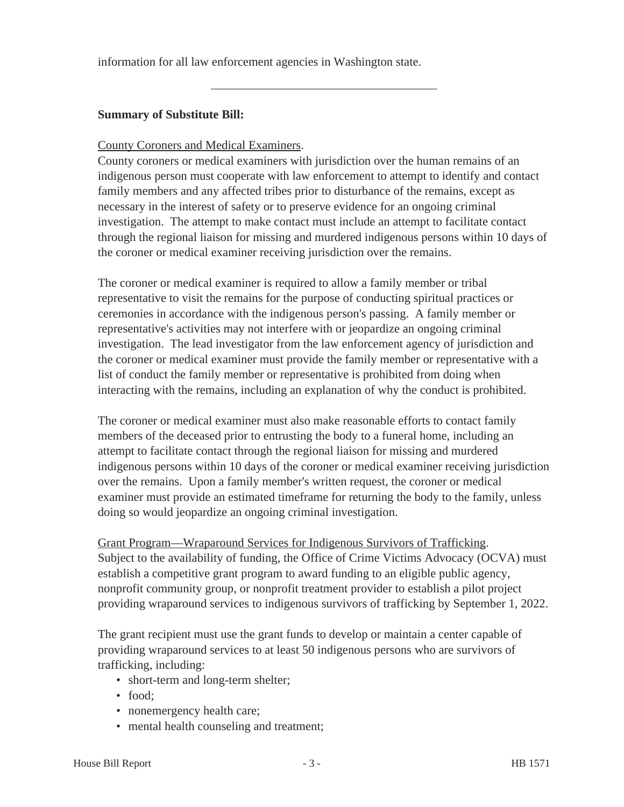information for all law enforcement agencies in Washington state.

## **Summary of Substitute Bill:**

#### County Coroners and Medical Examiners.

County coroners or medical examiners with jurisdiction over the human remains of an indigenous person must cooperate with law enforcement to attempt to identify and contact family members and any affected tribes prior to disturbance of the remains, except as necessary in the interest of safety or to preserve evidence for an ongoing criminal investigation. The attempt to make contact must include an attempt to facilitate contact through the regional liaison for missing and murdered indigenous persons within 10 days of the coroner or medical examiner receiving jurisdiction over the remains.

The coroner or medical examiner is required to allow a family member or tribal representative to visit the remains for the purpose of conducting spiritual practices or ceremonies in accordance with the indigenous person's passing. A family member or representative's activities may not interfere with or jeopardize an ongoing criminal investigation. The lead investigator from the law enforcement agency of jurisdiction and the coroner or medical examiner must provide the family member or representative with a list of conduct the family member or representative is prohibited from doing when interacting with the remains, including an explanation of why the conduct is prohibited.

The coroner or medical examiner must also make reasonable efforts to contact family members of the deceased prior to entrusting the body to a funeral home, including an attempt to facilitate contact through the regional liaison for missing and murdered indigenous persons within 10 days of the coroner or medical examiner receiving jurisdiction over the remains. Upon a family member's written request, the coroner or medical examiner must provide an estimated timeframe for returning the body to the family, unless doing so would jeopardize an ongoing criminal investigation.

Grant Program—Wraparound Services for Indigenous Survivors of Trafficking. Subject to the availability of funding, the Office of Crime Victims Advocacy (OCVA) must establish a competitive grant program to award funding to an eligible public agency, nonprofit community group, or nonprofit treatment provider to establish a pilot project providing wraparound services to indigenous survivors of trafficking by September 1, 2022.

The grant recipient must use the grant funds to develop or maintain a center capable of providing wraparound services to at least 50 indigenous persons who are survivors of trafficking, including:

- short-term and long-term shelter;
- food:
- nonemergency health care;
- mental health counseling and treatment;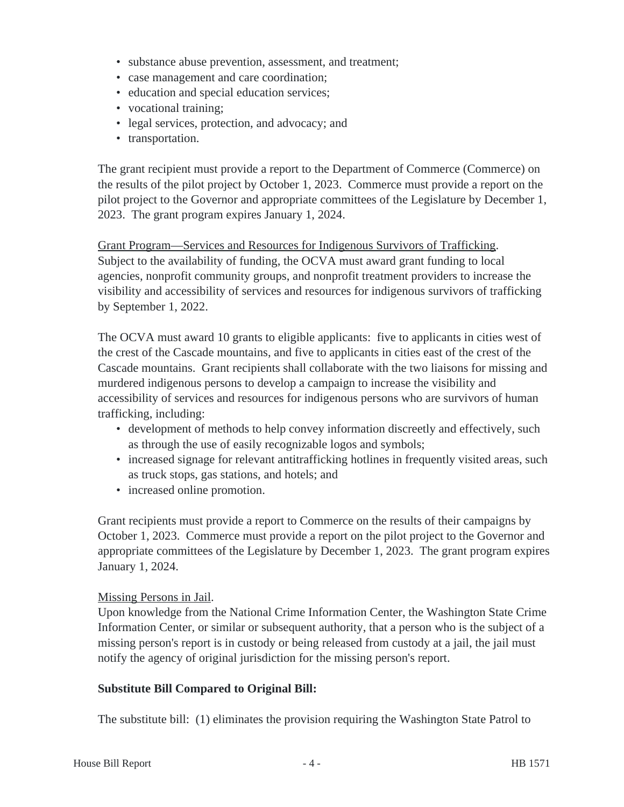- substance abuse prevention, assessment, and treatment;
- case management and care coordination;
- education and special education services;
- vocational training;
- legal services, protection, and advocacy; and
- transportation.

The grant recipient must provide a report to the Department of Commerce (Commerce) on the results of the pilot project by October 1, 2023. Commerce must provide a report on the pilot project to the Governor and appropriate committees of the Legislature by December 1, 2023. The grant program expires January 1, 2024.

Grant Program—Services and Resources for Indigenous Survivors of Trafficking. Subject to the availability of funding, the OCVA must award grant funding to local agencies, nonprofit community groups, and nonprofit treatment providers to increase the visibility and accessibility of services and resources for indigenous survivors of trafficking by September 1, 2022.

The OCVA must award 10 grants to eligible applicants: five to applicants in cities west of the crest of the Cascade mountains, and five to applicants in cities east of the crest of the Cascade mountains. Grant recipients shall collaborate with the two liaisons for missing and murdered indigenous persons to develop a campaign to increase the visibility and accessibility of services and resources for indigenous persons who are survivors of human trafficking, including:

- development of methods to help convey information discreetly and effectively, such as through the use of easily recognizable logos and symbols;
- increased signage for relevant antitrafficking hotlines in frequently visited areas, such as truck stops, gas stations, and hotels; and
- increased online promotion.

Grant recipients must provide a report to Commerce on the results of their campaigns by October 1, 2023. Commerce must provide a report on the pilot project to the Governor and appropriate committees of the Legislature by December 1, 2023. The grant program expires January 1, 2024.

#### Missing Persons in Jail.

Upon knowledge from the National Crime Information Center, the Washington State Crime Information Center, or similar or subsequent authority, that a person who is the subject of a missing person's report is in custody or being released from custody at a jail, the jail must notify the agency of original jurisdiction for the missing person's report.

#### **Substitute Bill Compared to Original Bill:**

The substitute bill: (1) eliminates the provision requiring the Washington State Patrol to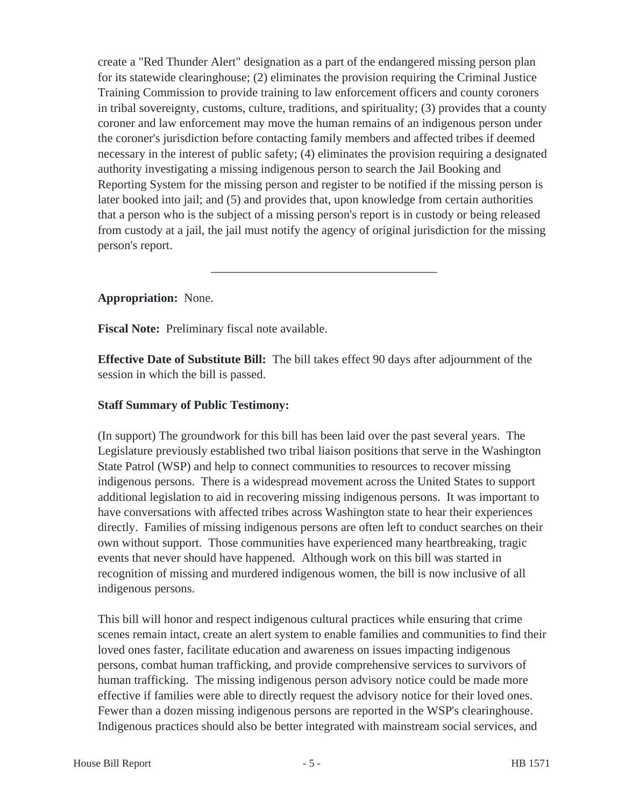create a "Red Thunder Alert" designation as a part of the endangered missing person plan for its statewide clearinghouse; (2) eliminates the provision requiring the Criminal Justice Training Commission to provide training to law enforcement officers and county coroners in tribal sovereignty, customs, culture, traditions, and spirituality; (3) provides that a county coroner and law enforcement may move the human remains of an indigenous person under the coroner's jurisdiction before contacting family members and affected tribes if deemed necessary in the interest of public safety; (4) eliminates the provision requiring a designated authority investigating a missing indigenous person to search the Jail Booking and Reporting System for the missing person and register to be notified if the missing person is later booked into jail; and (5) and provides that, upon knowledge from certain authorities that a person who is the subject of a missing person's report is in custody or being released from custody at a jail, the jail must notify the agency of original jurisdiction for the missing person's report.

## **Appropriation:** None.

**Fiscal Note:** Preliminary fiscal note available.

**Effective Date of Substitute Bill:** The bill takes effect 90 days after adjournment of the session in which the bill is passed.

## **Staff Summary of Public Testimony:**

(In support) The groundwork for this bill has been laid over the past several years. The Legislature previously established two tribal liaison positions that serve in the Washington State Patrol (WSP) and help to connect communities to resources to recover missing indigenous persons. There is a widespread movement across the United States to support additional legislation to aid in recovering missing indigenous persons. It was important to have conversations with affected tribes across Washington state to hear their experiences directly. Families of missing indigenous persons are often left to conduct searches on their own without support. Those communities have experienced many heartbreaking, tragic events that never should have happened. Although work on this bill was started in recognition of missing and murdered indigenous women, the bill is now inclusive of all indigenous persons.

This bill will honor and respect indigenous cultural practices while ensuring that crime scenes remain intact, create an alert system to enable families and communities to find their loved ones faster, facilitate education and awareness on issues impacting indigenous persons, combat human trafficking, and provide comprehensive services to survivors of human trafficking. The missing indigenous person advisory notice could be made more effective if families were able to directly request the advisory notice for their loved ones. Fewer than a dozen missing indigenous persons are reported in the WSP's clearinghouse. Indigenous practices should also be better integrated with mainstream social services, and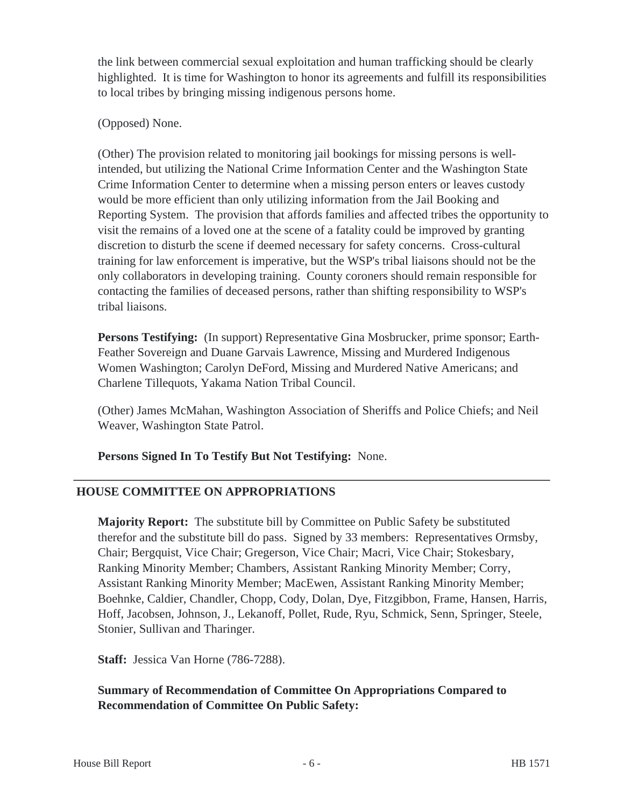the link between commercial sexual exploitation and human trafficking should be clearly highlighted. It is time for Washington to honor its agreements and fulfill its responsibilities to local tribes by bringing missing indigenous persons home.

## (Opposed) None.

(Other) The provision related to monitoring jail bookings for missing persons is wellintended, but utilizing the National Crime Information Center and the Washington State Crime Information Center to determine when a missing person enters or leaves custody would be more efficient than only utilizing information from the Jail Booking and Reporting System. The provision that affords families and affected tribes the opportunity to visit the remains of a loved one at the scene of a fatality could be improved by granting discretion to disturb the scene if deemed necessary for safety concerns. Cross-cultural training for law enforcement is imperative, but the WSP's tribal liaisons should not be the only collaborators in developing training. County coroners should remain responsible for contacting the families of deceased persons, rather than shifting responsibility to WSP's tribal liaisons.

**Persons Testifying:** (In support) Representative Gina Mosbrucker, prime sponsor; Earth-Feather Sovereign and Duane Garvais Lawrence, Missing and Murdered Indigenous Women Washington; Carolyn DeFord, Missing and Murdered Native Americans; and Charlene Tillequots, Yakama Nation Tribal Council.

(Other) James McMahan, Washington Association of Sheriffs and Police Chiefs; and Neil Weaver, Washington State Patrol.

**Persons Signed In To Testify But Not Testifying:** None.

## **HOUSE COMMITTEE ON APPROPRIATIONS**

**Majority Report:** The substitute bill by Committee on Public Safety be substituted therefor and the substitute bill do pass. Signed by 33 members: Representatives Ormsby, Chair; Bergquist, Vice Chair; Gregerson, Vice Chair; Macri, Vice Chair; Stokesbary, Ranking Minority Member; Chambers, Assistant Ranking Minority Member; Corry, Assistant Ranking Minority Member; MacEwen, Assistant Ranking Minority Member; Boehnke, Caldier, Chandler, Chopp, Cody, Dolan, Dye, Fitzgibbon, Frame, Hansen, Harris, Hoff, Jacobsen, Johnson, J., Lekanoff, Pollet, Rude, Ryu, Schmick, Senn, Springer, Steele, Stonier, Sullivan and Tharinger.

**Staff:** Jessica Van Horne (786-7288).

## **Summary of Recommendation of Committee On Appropriations Compared to Recommendation of Committee On Public Safety:**